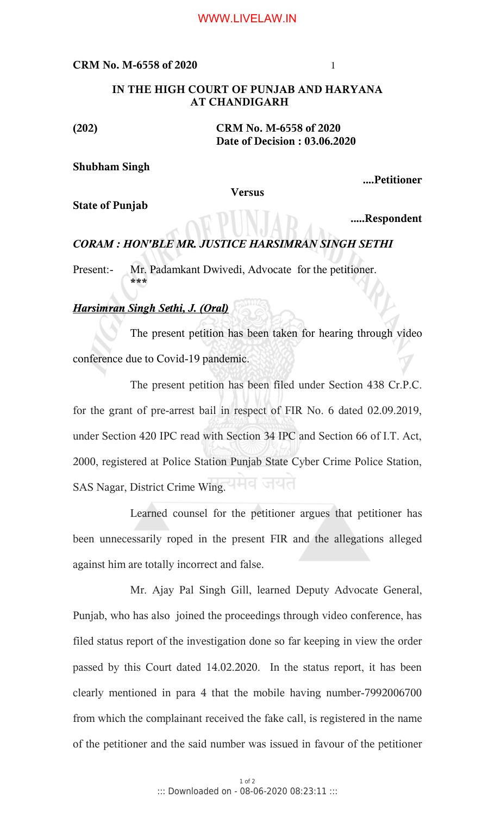#### WWW.LIVELAW.IN

#### **CRM No. M-6558 of 2020** 1

### **IN THE HIGH COURT OF PUNJAB AND HARYANA AT CHANDIGARH**

**(202) CRM No. M-6558 of 2020 Date of Decision : 03.06.2020**

# **Shubham Singh**

**....Petitioner**

**Versus**

**State of Punjab** 

 **.....Respondent**

# *CORAM : HON'BLE MR. JUSTICE HARSIMRAN SINGH SETHI*

Present:- Mr. Padamkant Dwivedi, Advocate for the petitioner. **\*\*\***

# *Harsimran Singh Sethi, J. (Oral)*

The present petition has been taken for hearing through video conference due to Covid-19 pandemic.

The present petition has been filed under Section 438 Cr.P.C. for the grant of pre-arrest bail in respect of FIR No. 6 dated 02.09.2019, under Section 420 IPC read with Section 34 IPC and Section 66 of I.T. Act, 2000, registered at Police Station Punjab State Cyber Crime Police Station, SAS Nagar, District Crime Wing.

Learned counsel for the petitioner argues that petitioner has been unnecessarily roped in the present FIR and the allegations alleged against him are totally incorrect and false.

Mr. Ajay Pal Singh Gill, learned Deputy Advocate General, Punjab, who has also joined the proceedings through video conference, has filed status report of the investigation done so far keeping in view the order passed by this Court dated 14.02.2020. In the status report, it has been clearly mentioned in para 4 that the mobile having number-7992006700 from which the complainant received the fake call, is registered in the name of the petitioner and the said number was issued in favour of the petitioner